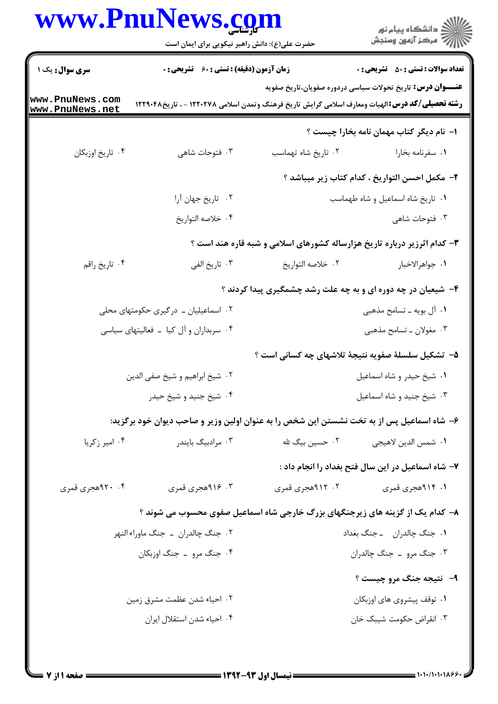|                                        | www.PnuNews.com                                    | ان دانشگاه پيام نور<br>اس مرکز آزمون وسنجش                                                                        |                            |
|----------------------------------------|----------------------------------------------------|-------------------------------------------------------------------------------------------------------------------|----------------------------|
|                                        | حضرت علی(ع): دانش راهبر نیکویی برای ایمان است      |                                                                                                                   |                            |
| سری سوال: یک ۱                         | <b>زمان آزمون (دقیقه) : تستی : 60 ٪ تشریحی : 0</b> | <b>تعداد سوالات : تستي : 50 ٪ تشريحي : 0</b><br><b>عنـــوان درس:</b> تاریخ تحولات سیاسی دردوره صفویان،تاریخ صفویه |                            |
| www.PnuNews.com<br>www.PnuNews.net     |                                                    | <b>رشته تحصیلی/کد درس: ا</b> لهیات ومعارف اسلامی گرایش تاریخ فرهنگ وتمدن اسلامی ۱۲۲۰۲۷۸ - ، تاریخ۱۲۲۹۰۴۸          |                            |
|                                        |                                                    | ۱– نام دیگر کتاب مهمان نامه بخارا چیست ؟                                                                          |                            |
| ۰۴ تاريخ اوزبكان                       | ۰۳ فتوحات شاهی                                     | ۰۲ تاريخ شاه تهماسب                                                                                               | ٠١ سفرنامه بخارا           |
|                                        |                                                    | <b>٢</b> – مكمل احسن التواريخ ، كدام كتاب زير ميباشد ؟                                                            |                            |
|                                        | ۰۲ تاریخ جهان آرا                                  | ٠١ تاريخ شاه اسماعيل و شاه طهماسب                                                                                 |                            |
|                                        | ۰۴ خلاصه التواريخ                                  |                                                                                                                   | ۰۳ فتوحات شاه <sub>ی</sub> |
|                                        |                                                    | ۳- کدام اثرزیر درباره تاریخ هزارساله کشورهای اسلامی و شبه قاره هند است ؟                                          |                            |
| ۰۴ تاريخ راقم                          | ۰۳ تاریخ الفی                                      | ٢.  خلاصه التواريخ                                                                                                | ٠١. جواهرالاخبار           |
|                                        |                                                    | ۴- شیعیان در چه دوره ای و به چه علت رشد چشمگیری پیدا کردند ؟                                                      |                            |
|                                        | ۰۲ اسماعیلیان ـ درگیری حکومتهای محلی               | ۰۱ آل بویه ـ تسامح مذهبی                                                                                          |                            |
| ۰۴ سربداران و آل کیا - فعالیتهای سیاسی |                                                    | ۰۳ مغولان ـ تسامح مذهبي                                                                                           |                            |
|                                        |                                                    | ۵– تشکیل سلسلهٔ صفویه نتیجهٔ تلاشهای چه کسانی است ؟                                                               |                            |
|                                        | ٠٢ شيخ ابراهيم و شيخ صفي الدين                     | ۰۱ شیخ حیدر و شاه اسماعیل                                                                                         |                            |
|                                        | ۰۴ شیخ جنید و شیخ حیدر                             | ۰۳ شیخ جنید و شاه اسماعیل                                                                                         |                            |
|                                        |                                                    | ۶– شاه اسماعیل پس از به تخت نشستن این شخص را به عنوان اولین وزیر و صاحب دیوان خود برگزید:                         |                            |
| ۰۴ امیر زکریا                          | ۰۳ مرادبیگ بایندر                                  | ۰۲ حسین بیگ لله<br>٠١. شمس الدين لاهيجي                                                                           |                            |
|                                        |                                                    | ۷– شاه اسماعیل در این سال فتح بغداد را انجام داد :                                                                |                            |
| ۰۴ جمجري قمري                          | ۴. ۹۱۶هجری قمری                                    | ۰۲ ۹۱۲هجری قمری                                                                                                   | ۱. ۹۱۴هجری قمری            |
|                                        |                                                    | ۸- کدام یک از گزینه های زیرجنگهای بزرگ خارجی شاه اسماعیل صفوی محسوب می شوند ؟                                     |                            |
|                                        | ۰۲ جنگ چالدران ــ جنگ ماوراء النهر                 | ٠١. جنگ چالدران __ جنگ بغداد                                                                                      |                            |
|                                        | ۰۴ جنگ مرو ـ جنگ اوزبکان                           | ۰۳ جنگ مرو _ جنگ چالدران                                                                                          |                            |
|                                        |                                                    | ۹- نتيجه جنگ مرو چيست ؟                                                                                           |                            |
|                                        | ۰۲ احیاء شدن عظمت مشرق زمین                        | ٠١ توقف پيشروي هاي اوزبكان                                                                                        |                            |
|                                        | ۰۴ احیاء شدن استقلال ایران                         | ۰۳ انقراض حکومت شیبک خان                                                                                          |                            |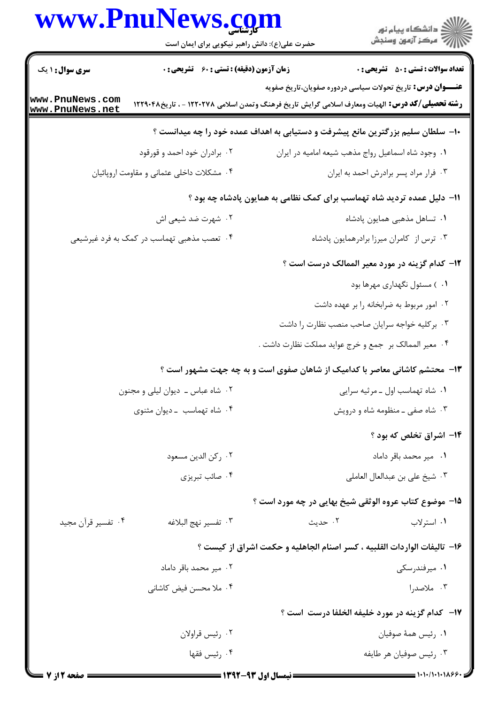|                                    | www.PnuNews.com<br>حضرت علی(ع): دانش راهبر نیکویی برای ایمان است                                       |                                                                                 | ر<br>دانشڪاه پيام نور<br>∥7 مرڪز آزمون وسنڊش                      |
|------------------------------------|--------------------------------------------------------------------------------------------------------|---------------------------------------------------------------------------------|-------------------------------------------------------------------|
| سری سوال : ۱ یک                    | <b>زمان آزمون (دقیقه) : تستی : 60 ٪ تشریحی : 0</b>                                                     |                                                                                 | <b>تعداد سوالات : تستي : 50 ٪ تشريحي : 0</b>                      |
| www.PnuNews.com<br>www.PnuNews.net | <b>رشته تحصیلی/کد درس:</b> الهیات ومعارف اسلامی گرایش تاریخ فرهنگ وتمدن اسلامی ۱۲۲۰۲۷۸ - ، تاریخ۲۲۹۰۴۸ |                                                                                 | <b>عنـــوان درس:</b> تاریخ تحولات سیاسی دردوره صفویان،تاریخ صفویه |
|                                    |                                                                                                        | ∙ا− سلطان سلیم بزرگترین مانع پیشرفت و دستیابی به اهداف عمده خود را چه میدانست ؟ |                                                                   |
|                                    | ۰۲ برادران خود احمد و قورقود                                                                           | ٠١ وجود شاه اسماعيل رواج مذهب شيعه اماميه در ايران                              |                                                                   |
|                                    | ۰۴ مشکلات داخلی عثمانی و مقاومت اروپائیان                                                              |                                                                                 | ٠٣ فرار مراد پسر برادرش احمد به ايران                             |
|                                    |                                                                                                        | 1۱– دلیل عمده تردید شاه تهماسب برای کمک نظامی به همایون پادشاه چه بود ؟         |                                                                   |
|                                    | ۰۲ شهرت ضد شیعی اش                                                                                     |                                                                                 | ٠١ تساهل مذهبي همايون پادشاه                                      |
|                                    | ۰۴ تعصب مذهبی تهماسب در کمک به فرد غیرشیعی                                                             |                                                                                 | ۰۳ ترس از کامران میرزا برادرهمایون پادشاه                         |
|                                    |                                                                                                        |                                                                                 | <b>۱۲</b> - کدام گزینه در مورد معیر الممالک درست است ؟            |
|                                    |                                                                                                        |                                                                                 | ۰۱ ) مسئول نگهداری مهرها بود                                      |
|                                    |                                                                                                        |                                                                                 | ۰۲ امور مربوط به ضرابخانه را بر عهده داشت                         |
|                                    |                                                                                                        |                                                                                 | ۰۳ برکلیه خواجه سرایان صاحب منصب نظارت را داشت                    |
|                                    |                                                                                                        | ۰۴ معیر الممالک بر  جمع و خرج عواید مملکت نظارت داشت .                          |                                                                   |
|                                    |                                                                                                        | ۱۳- محتشم کاشانی معاصر با کدامیک از شاهان صفوی است و به چه جهت مشهور است ؟      |                                                                   |
|                                    | ٠٢ شاه عباس ـ ديوان ليلي و مجنون                                                                       |                                                                                 | ٠١ شاه تهماسب اول ـ مرثيه سرايي                                   |
|                                    | ۰۴ شاه تهماسب - ديوان مثنوى                                                                            |                                                                                 | ۰۳ شاه صفی ـ منظومه شاه و درویش                                   |
|                                    |                                                                                                        |                                                                                 | ۱۴- اشراق تخلص که بود ؟                                           |
|                                    | ٠٢ ركن الدين مسعود                                                                                     |                                                                                 | ٠١ مير محمد باقر داماد                                            |
|                                    | ۰۴ صائب تبریزی                                                                                         |                                                                                 | ٠٣ شيخ على بن عبدالعال العاملي                                    |
|                                    |                                                                                                        | ۱۵- موضوع کتاب عروه الوثقی شیخ بهایی در چه مورد است ؟                           |                                                                   |
| ۰۴ تفسیر قرآن مجید                 | ٠٣ تفسير نهج البلاغه                                                                                   | ۰۲ حدیث                                                                         | ۰۱ استرلاب                                                        |
|                                    |                                                                                                        | ۱۶- تاليفات الواردات القلبيه ، كسر اصنام الجاهليه و حكمت اشراق از كيست ؟        |                                                                   |
|                                    | ۰۲ میر محمد باقر داماد                                                                                 |                                                                                 | ۰۱ میرفندرسکی                                                     |
|                                    | ۰۴ ملا محسن فیض کاشانی                                                                                 |                                                                                 | ۰۳ ملاصدرا                                                        |
|                                    |                                                                                                        |                                                                                 | <b>۱۷</b> - کدام گزینه در مورد خلیفه الخلفا درست است ؟            |
|                                    | ۰۲ رئيس قراولان                                                                                        |                                                                                 | ۰۱ رئيس همهٔ صوفيان                                               |

۴. رئيس فقها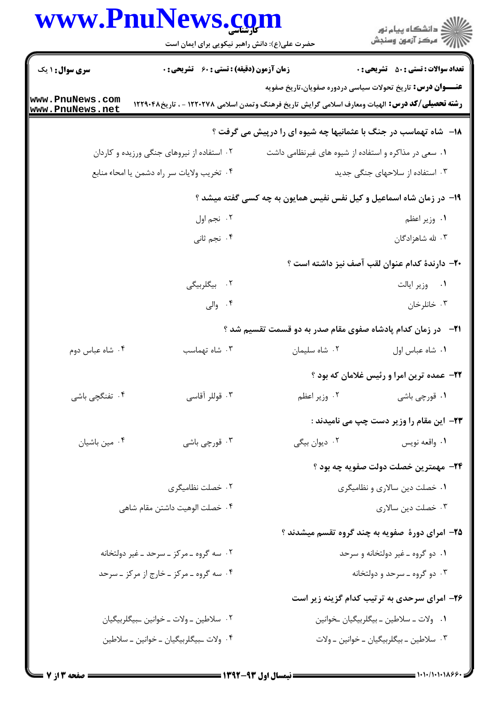# www.PnuNews.com

| ر<br>دانشڪاه پيام نور)<br>اڳ مرڪز آزمون وسنڊش<br>حضرت علی(ع): دانش راهبر نیکویی برای ایمان است<br><b>تعداد سوالات : تستي : 50 ٪ تشريحي : 0</b><br><b>سری سوال : ۱ یک</b><br><b>زمان آزمون (دقیقه) : تستی : 60 ٪ تشریحی : 0</b><br><b>عنـــوان درس:</b> تاریخ تحولات سیاسی دردوره صفویان،تاریخ صفویه<br><b>رشته تحصیلی/کد درس:</b> الهیات ومعارف اسلامی گرایش تاریخ فرهنگ وتمدن اسلامی ۱۲۲۰۲۷۸ - ، تاریخ۱۲۲۹۰۴۸<br><b>۱۸</b> - ً شاه تهماسب در جنگ با عثمانیها چه شیوه ای را درپیش می گرفت ؟<br>۰۲ استفاده از نیروهای جنگی ورزیده و کاردان<br>۰۱ سعی در مذاکره و استفاده از شیوه های غیرنظامی داشت<br>۰۴ تخريب ولايات سر راه دشمن يا امحاء منابع<br>۰۳ استفاده از سلاحهای جنگی جدید<br>۱۹- در زمان شاه اسماعیل و کیل نفس نفیس همایون به چه کسی گفته میشد ؟<br>۰۲ نجم اول<br>۱. وزیر اعظم<br>۰۴ نجم ثانی<br>۰۳ شه شاهزادگان |
|---------------------------------------------------------------------------------------------------------------------------------------------------------------------------------------------------------------------------------------------------------------------------------------------------------------------------------------------------------------------------------------------------------------------------------------------------------------------------------------------------------------------------------------------------------------------------------------------------------------------------------------------------------------------------------------------------------------------------------------------------------------------------------------------------------------------------|
| www.PnuNews.com<br>www.PnuNews.net                                                                                                                                                                                                                                                                                                                                                                                                                                                                                                                                                                                                                                                                                                                                                                                        |
|                                                                                                                                                                                                                                                                                                                                                                                                                                                                                                                                                                                                                                                                                                                                                                                                                           |
|                                                                                                                                                                                                                                                                                                                                                                                                                                                                                                                                                                                                                                                                                                                                                                                                                           |
|                                                                                                                                                                                                                                                                                                                                                                                                                                                                                                                                                                                                                                                                                                                                                                                                                           |
|                                                                                                                                                                                                                                                                                                                                                                                                                                                                                                                                                                                                                                                                                                                                                                                                                           |
|                                                                                                                                                                                                                                                                                                                                                                                                                                                                                                                                                                                                                                                                                                                                                                                                                           |
|                                                                                                                                                                                                                                                                                                                                                                                                                                                                                                                                                                                                                                                                                                                                                                                                                           |
|                                                                                                                                                                                                                                                                                                                                                                                                                                                                                                                                                                                                                                                                                                                                                                                                                           |
|                                                                                                                                                                                                                                                                                                                                                                                                                                                                                                                                                                                                                                                                                                                                                                                                                           |
| +۲- دارندهٔ کدام عنوان لقب آصف نیز داشته است ؟                                                                                                                                                                                                                                                                                                                                                                                                                                                                                                                                                                                                                                                                                                                                                                            |
| ۰۲ بیگلربیگی<br>۰۱ وزیر ایالت                                                                                                                                                                                                                                                                                                                                                                                                                                                                                                                                                                                                                                                                                                                                                                                             |
| ۰۴ والی<br>۰۳ خانلرخان                                                                                                                                                                                                                                                                                                                                                                                                                                                                                                                                                                                                                                                                                                                                                                                                    |
| <b>۲۱</b> - در زمان کدام پادشاه صفوی مقام صدر به دو قسمت تقسیم شد ؟                                                                                                                                                                                                                                                                                                                                                                                                                                                                                                                                                                                                                                                                                                                                                       |
| ٠٢ شاه سليمان<br>۰۴ شاه عباس دوم<br>۰۳ شاه تهماسب<br>٠١ شاه عباس اول                                                                                                                                                                                                                                                                                                                                                                                                                                                                                                                                                                                                                                                                                                                                                      |
| <b>3۲-</b> عمده ترین امرا و رئیس غلامان که بود ؟                                                                                                                                                                                                                                                                                                                                                                                                                                                                                                                                                                                                                                                                                                                                                                          |
| ۰۲ وزير اعظم<br>۰۴ تفنگچی باشی<br>۰۳ قوللر آقاسي<br>۰۱ قورچي باشي                                                                                                                                                                                                                                                                                                                                                                                                                                                                                                                                                                                                                                                                                                                                                         |
| <b>۲۳</b> - این مقام را وزیر دست چپ می نامیدند :                                                                                                                                                                                                                                                                                                                                                                                                                                                                                                                                                                                                                                                                                                                                                                          |
| ۰۲ دیوان بیگی<br>۰۴ مین باشیان<br>۰۳ قورچي باشي<br>٠١ واقعه نويس                                                                                                                                                                                                                                                                                                                                                                                                                                                                                                                                                                                                                                                                                                                                                          |
| <b>۲۴</b> - مهمترین خصلت دولت صفویه چه بود ؟                                                                                                                                                                                                                                                                                                                                                                                                                                                                                                                                                                                                                                                                                                                                                                              |
| ۰۲ خصلت نظامیگری<br>٠١ خصلت دين سالاري و نظاميگري                                                                                                                                                                                                                                                                                                                                                                                                                                                                                                                                                                                                                                                                                                                                                                         |
| ۰۴ خصلت الوهيت داشتن مقام شاهي<br>۰۳ خصلت دین سالاری                                                                                                                                                                                                                                                                                                                                                                                                                                                                                                                                                                                                                                                                                                                                                                      |
| ۲۵- امرای دورهٔ صفویه به چند گروه تقسم میشدند ؟                                                                                                                                                                                                                                                                                                                                                                                                                                                                                                                                                                                                                                                                                                                                                                           |
| ۰۲ سه گروه ــ مرکز ــ سرحد ــ غیر دولتخانه<br>۰۱ دو گروه ـ غیر دولتخانه و سرحد                                                                                                                                                                                                                                                                                                                                                                                                                                                                                                                                                                                                                                                                                                                                            |
| ۰۳ دو گروه ـ سرحد و دولتخانه<br>۰۴ سه گروه ـ مرکز ـ خارج از مرکز ـ سرحد                                                                                                                                                                                                                                                                                                                                                                                                                                                                                                                                                                                                                                                                                                                                                   |
| ۲۶- امرای سرحدی به ترتیب کدام گزینه زیر است                                                                                                                                                                                                                                                                                                                                                                                                                                                                                                                                                                                                                                                                                                                                                                               |
| ٠١ ولات ـ سلاطين ـ بيگلربيگيان ـخوانين<br>۰۲ سلاطین ــ ولات ــ خوانین ــبیگلربیگیان                                                                                                                                                                                                                                                                                                                                                                                                                                                                                                                                                                                                                                                                                                                                       |
| ۰۴ ولات ـبيگلربيگيان ـ خوانين ـ سلاطين<br>٠٣ سلاطين ـ بيگلربيگيان ـ خوانين ـ ولات                                                                                                                                                                                                                                                                                                                                                                                                                                                                                                                                                                                                                                                                                                                                         |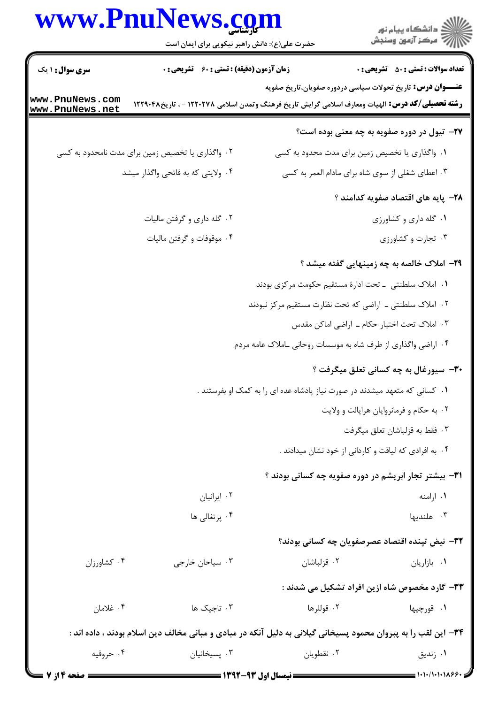# www.PnuNews.com

|                                    | www.PnuNews.com<br>حضرت علی(ع): دانش راهبر نیکویی برای ایمان است |                                                                                                                | ڪ دانشڪاه پيام نور<br>/> مرڪز آزمون وسنڊش        |
|------------------------------------|------------------------------------------------------------------|----------------------------------------------------------------------------------------------------------------|--------------------------------------------------|
| <b>سری سوال : ۱ یک</b>             | <b>زمان آزمون (دقیقه) : تستی : 60 گشریحی : 0</b>                 |                                                                                                                | <b>تعداد سوالات : تستي : 50 ٪ تشريحي : 0</b>     |
|                                    |                                                                  | <b>عنـــوان درس:</b> تاریخ تحولات سیاسی دردوره صفویان،تاریخ صفویه                                              |                                                  |
| www.PnuNews.com<br>www.PnuNews.net |                                                                  | <b>رشته تحصیلی/کد درس:</b> الهیات ومعارف اسلامی گرایش تاریخ فرهنگ وتمدن اسلامی ۱۲۲۰۲۷۸ - ، تاریخ۱۲۲۹۰۴۸        |                                                  |
|                                    |                                                                  |                                                                                                                | ۲۷- تیول در دوره صفویه به چه معنی بوده است؟      |
|                                    | ۰۲ واگذاری یا تخصیص زمین برای مدت نامحدود به کسی                 | ۰۱ واگذاری یا تخصیص زمین برای مدت محدود به کسی                                                                 |                                                  |
|                                    | ۰۴ ولایتی که به فاتحی واگذار میشد                                |                                                                                                                | ۰۳ اعطای شغلی از سوی شاه برای مادام العمر به کسی |
|                                    |                                                                  |                                                                                                                | ۲۸– پایه های اقتصاد صفویه کدامند ؟               |
|                                    | ۰۲ گله داری و گرفتن مالیات                                       |                                                                                                                | ۰۱ گله داری و کشاورزی                            |
|                                    | ۰۴ موقوفات و گرفتن ماليات                                        |                                                                                                                | ۰۳ تجارت و کشاورزی                               |
|                                    |                                                                  |                                                                                                                | ۲۹– املاک خالصه به چه زمینهایی گفته میشد ؟       |
|                                    |                                                                  | <mark>۱</mark> .  املاک سلطنتی  ـ تحت ادارهٔ مستقیم حکومت مرکزی بودند                                          |                                                  |
|                                    |                                                                  | ۰۲ املاک سلطنتی ـ اراضی که تحت نظارت مستقیم مرکز نبودند                                                        |                                                  |
|                                    |                                                                  |                                                                                                                | ۰۳ املاک تحت اختیار حکام ـ اراضی اماکن مقدس      |
|                                    |                                                                  | ۰۴ اراضی واگذاری از طرف شاه به موسسات روحانی ـاملاک عامه مردم                                                  |                                                  |
|                                    |                                                                  |                                                                                                                | <b>۳۰</b> - سیورغال به چه کسانی تعلق میگرفت ؟    |
|                                    |                                                                  | ۰۱ کسانی که متعهد میشدند در صورت نیاز پادشاه عده ای را به کمک او بفرستند .                                     |                                                  |
|                                    |                                                                  |                                                                                                                | ۰۲ به حکام و فرمانروایان هرایالت و ولایت         |
|                                    |                                                                  |                                                                                                                | ۰۳ فقط به قزلباشان تعلق ميگرفت                   |
|                                    |                                                                  | ۰۴ به افرادی که لیاقت و کاردانی از خود نشان میدادند .                                                          |                                                  |
|                                    |                                                                  | <b>۳۱</b> - بیشتر تجار ابریشم در دوره صفویه چه کسانی بودند ؟                                                   |                                                  |
|                                    | ٠٢ ايرانيان                                                      |                                                                                                                | ۰۱ ارامنه                                        |
|                                    | ۰۴ پرتغالی ها                                                    |                                                                                                                | ۰۳ هلندیها                                       |
|                                    |                                                                  |                                                                                                                | ٣٢- نبض تپنده اقتصاد عصرصفويان چه كساني بودند؟   |
| ۰۴ کشاورزان                        | ۰۳ سیاحان خارجی                                                  | ۰۲ قزلباشان                                                                                                    | ۰۱ بازاریان                                      |
|                                    |                                                                  |                                                                                                                | ۳۳- گارد مخصوص شاه ازین افراد تشکیل می شدند :    |
| ۰۴ غلامان                          | ۰۳ تاجیک ها                                                      | ٢. قوللرها                                                                                                     | ۰۱ قورچيها                                       |
|                                    |                                                                  | ۳۴– این لقب را به پبروان محمود پسیخانی گیلانی به دلیل آنکه در مبادی و مبانی مخالف دین اسلام بودند ، داده اند : |                                                  |
| ۰۴ حروفیه                          | ۰۳ پسیخانیان                                                     | ٠٢ نقطويان                                                                                                     | ۰۱ زندیق                                         |
|                                    |                                                                  |                                                                                                                |                                                  |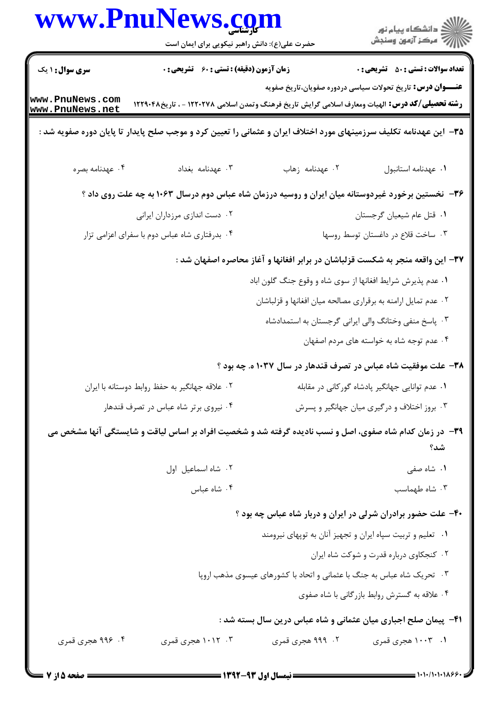|                                    | حضرت علی(ع): دانش راهبر نیکویی برای ایمان است                                                                      |                                                                                | ِ<br>∭ دانشڪاه پيام نور<br>∭ مرڪز آزمون وسنڊش |
|------------------------------------|--------------------------------------------------------------------------------------------------------------------|--------------------------------------------------------------------------------|-----------------------------------------------|
| <b>سری سوال :</b> ۱ یک             | <b>زمان آزمون (دقیقه) : تستی : 60 ٪ تشریحی : 0</b>                                                                 |                                                                                | <b>تعداد سوالات : تستی : 50 ٪ تشریحی : 0</b>  |
| www.PnuNews.com<br>www.PnuNews.net | <b>رشته تحصیلی/کد درس:</b> الهیات ومعارف اسلامی گرایش تاریخ فرهنگ وتمدن اسلامی ۱۲۲۰۲۷۸ - ، تاریخ۲۲۹۰۴۸             | <b>عنـــوان درس:</b> تاریخ تحولات سیاسی دردوره صفویان،تاریخ صفویه              |                                               |
|                                    | ۳۵– این عهدنامه تکلیف سرزمینهای مورد اختلاف ایران و عثمانی را تعیین کرد و موجب صلح پایدار تا پایان دوره صفویه شد : |                                                                                |                                               |
| ۰۴ عهدنامه بصره                    | ٠٣ عهدنامه بغداد                                                                                                   | ۰۲ عهدنامه زهاب                                                                | ٠١ عهدنامه استانبول                           |
|                                    | ۳۶- نخستین برخورد غیردوستانه میان ایران و روسیه درزمان شاه عباس دوم درسال ۱۰۶۳ به چه علت روی داد ؟                 |                                                                                |                                               |
|                                    | ۰۲ دست اندازی مرزداران ایرانی                                                                                      |                                                                                | ٠١ قتل عام شيعيان گرجستان                     |
|                                    | ۰۴ بدرفتاری شاه عباس دوم با سفرای اعزامی تزار                                                                      |                                                                                | ۰۳ ساخت قلاع در داغستان توسط روسها            |
|                                    |                                                                                                                    | ۳۷– این واقعه منجر به شکست قزلباشان در برابر افغانها و آغاز محاصره اصفهان شد : |                                               |
|                                    |                                                                                                                    | ۰۱ عدم پذیرش شرایط افغانها از سوی شاه و وقوع جنگ گلون اباد                     |                                               |
|                                    |                                                                                                                    | ۰۲ عدم تمایل ارامنه به برقراری مصالحه میان افغانها و قزلباشان                  |                                               |
|                                    |                                                                                                                    | ۰۳ پاسخ منفی وختانگ والی ایرانی گرجستان به استمدادشاه                          |                                               |
|                                    |                                                                                                                    | ۰۴ عدم توجه شاه به خواسته های مردم اصفهان                                      |                                               |
|                                    |                                                                                                                    | ۳۸– علت موفقیت شاه عباس در تصرف قندهار در سال ۱۰۳۷ ه. چه بود ؟                 |                                               |
|                                    | ۰۲ علاقه جهانگیر به حفظ روابط دوستانه با ایران                                                                     | ۰۱ عدم توانایی جهانگیر پادشاه گورکانی در مقابله                                |                                               |
|                                    | ۰۴ نیروی برتر شاه عباس در تصرف قندهار                                                                              | ۰۳ بروز اختلاف و درگیری میان جهانگیر و پسرش                                    |                                               |
|                                    | ۳۹- در زمان کدام شاه صفوی، اصل و نسب نادیده گرفته شد و شخصیت افراد بر اساس لیاقت و شایستگی آنها مشخص می            |                                                                                | شد؟                                           |
|                                    | ٠٢ شاه اسماعيل اول                                                                                                 |                                                                                | ۰۱ شاه صفی                                    |
|                                    | ۰۴ شاه عباس                                                                                                        |                                                                                | ۰۳ شاه طهماسب                                 |
|                                    |                                                                                                                    | ۴۰- علت حضور برادران شرلی در ایران و دربار شاه عباس چه بود ؟                   |                                               |
|                                    |                                                                                                                    | ۰۱ تعلیم و تربیت سپاه ایران و تجهیز آنان به توپهای نیرومند                     |                                               |
|                                    |                                                                                                                    |                                                                                | ۰۲ کنجکاوی درباره قدرت و شوکت شاه ایران       |
|                                    |                                                                                                                    | ۰۳ تحریک شاه عباس به جنگ با عثمانی و اتحاد با کشورهای عیسوی مذهب اروپا         |                                               |
|                                    |                                                                                                                    | ۰۴ علاقه به گسترش روابط بازرگانی با شاه صفوی                                   |                                               |
|                                    |                                                                                                                    | ۴۱- پیمان صلح اجباری میان عثمانی و شاه عباس درین سال بسته شد :                 |                                               |
| ۴. ۹۹۶ هجری قمری                   | ۰۳ ۱۰۱۲ هجری قمری                                                                                                  | ۲. ۹۹۹ هجری قمری                                                               | ۱. ۱۰۰۳ هجری قمری                             |

 $= 1.1.11.11199$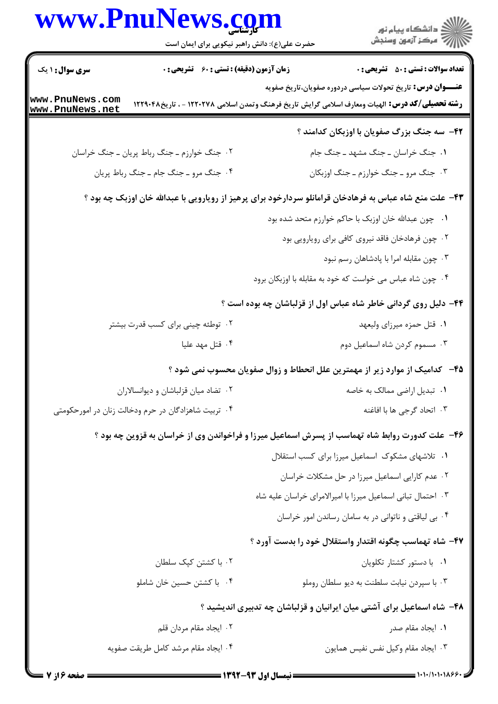|                                                                                                         | www.Pnulvews.com<br>حضرت علی(ع): دانش راهبر نیکویی برای ایمان است |  | ڪ دانشڪاه پيا <sub>م</sub> نور<br><mark>ر</mark> ⊽ مرڪز آزمون وسنڊش                                                                                                          |
|---------------------------------------------------------------------------------------------------------|-------------------------------------------------------------------|--|------------------------------------------------------------------------------------------------------------------------------------------------------------------------------|
| <b>سری سوال : ۱ یک</b>                                                                                  | زمان آزمون (دقیقه) : تستی : 60 گشریحی : 0                         |  | <b>تعداد سوالات : تستی : 50 ٪ تشریحی : 0</b>                                                                                                                                 |
| www.PnuNews.com<br>www.PnuNews.net                                                                      |                                                                   |  | <b>عنـــوان درس:</b> تاریخ تحولات سیاسی دردوره صفویان،تاریخ صفویه<br><b>رشته تحصیلی/کد درس:</b> الهیات ومعارف اسلامی گرایش تاریخ فرهنگ وتمدن اسلامی ۱۲۲۰۲۷۸ - ، تاریخ۱۲۲۹۰۴۸ |
|                                                                                                         |                                                                   |  | ۴۲- سه جنگ بزرگ صفویان با اوزبکان کدامند ؟                                                                                                                                   |
|                                                                                                         | ۰۲ جنگ خوارزم ـ جنگ رباط پریان ـ جنگ خراسان                       |  | ١. جنگ خراسان ـ جنگ مشهد ـ جنگ جام                                                                                                                                           |
|                                                                                                         | ۰۴ جنگ مرو ـ جنگ جام ـ جنگ رباط پريان                             |  | ۰۳ جنگ مرو ـ جنگ خوارزم ـ جنگ اوزبکان                                                                                                                                        |
| ۴۳- علت منع شاه عباس به فرهادخان قرامانلو سردارخود برای پرهیز از رویارویی با عبدالله خان اوزبک چه بود ؟ |                                                                   |  |                                                                                                                                                                              |
|                                                                                                         |                                                                   |  | ۰۱ – چون عبدالله خان اوزبک با حاکم خوارزم متحد شده بود                                                                                                                       |
|                                                                                                         |                                                                   |  | ۰۲ چون فرهادخان فاقد نیروی کافی برای رویارویی بود                                                                                                                            |
|                                                                                                         |                                                                   |  | ۰۳ چون مقابله امرا با پادشاهان رسم نبود                                                                                                                                      |
|                                                                                                         |                                                                   |  | ۰۴ چون شاه عباس می خواست که خود به مقابله با اوزبکان برود                                                                                                                    |
|                                                                                                         |                                                                   |  | ۴۴- دلیل روی گردانی خاطر شاه عباس اول از قزلباشان چه بوده است ؟                                                                                                              |
|                                                                                                         | ۰۲ توطئه چینی برای کسب قدرت بیشتر                                 |  | ۰۱ قتل حمزه میرزای ولیعهد                                                                                                                                                    |
|                                                                                                         | ۰۴ قتل مهد عليا                                                   |  | ۰۳ مسموم کردن شاه اسماعیل دوم                                                                                                                                                |
|                                                                                                         |                                                                   |  | ۴۵–۔ کدامیک از موارد زیر از مهمترین علل انحطاط و زوال صفویان محسوب نمی شود ؟                                                                                                 |
|                                                                                                         | ۰۲ تضاد میان قزلباشان و دیوانسالاران                              |  | ۰۱ تبدیل اراضی ممالک به خاصه                                                                                                                                                 |
|                                                                                                         | ۰۴ تربیت شاهزادگان در حرم ودخالت زنان در امورحکومتی               |  | ۰۳ اتحاد گرجی ها با افاغنه                                                                                                                                                   |
|                                                                                                         |                                                                   |  | ۴۶– علت کدورت روابط شاه تهماسب از پسرش اسماعیل میرزا و فراخواندن وی از خراسان به قزوین چه بود ؟                                                                              |
|                                                                                                         |                                                                   |  | ٠١ تلاشهاى مشكوك اسماعيل ميرزا براى كسب استقلال                                                                                                                              |
|                                                                                                         |                                                                   |  | ۰۲ عدم کارایی اسماعیل میرزا در حل مشکلات خراسان                                                                                                                              |
|                                                                                                         |                                                                   |  | ۰۳ احتمال تبانی اسماعیل میرزا با امیرالامرای خراسان علیه شاه                                                                                                                 |
|                                                                                                         |                                                                   |  | ۰۴ بی لیاقتی و ناتوانی در به سامان رساندن امور خراسان                                                                                                                        |
|                                                                                                         |                                                                   |  | ۴۷– شاه تهماسب چگونه اقتدار واستقلال خود را بدست آورد ؟                                                                                                                      |
|                                                                                                         | ۰۲ با کشتن کپک سلطان                                              |  | ٠١ با دستور كشتار تكلويان                                                                                                                                                    |
|                                                                                                         | ۰۴ با کشتن حسین خان شاملو                                         |  | ۰۳ با سپردن نیابت سلطنت به دیو سلطان روملو                                                                                                                                   |
|                                                                                                         |                                                                   |  | ۴۸– شاه اسماعیل برای آشتی میان ایرانیان و قزلباشان چه تدبیری اندیشید ؟                                                                                                       |
|                                                                                                         | ۰۲ ایجاد مقام مردان قلم                                           |  | ٠١. ايجاد مقام صدر                                                                                                                                                           |
|                                                                                                         | ۰۴ ایجاد مقام مرشد کامل طریقت صفویه                               |  | ٠٣ ايجاد مقام وكيل نفس نفيس همايون                                                                                                                                           |

 $\blacksquare$